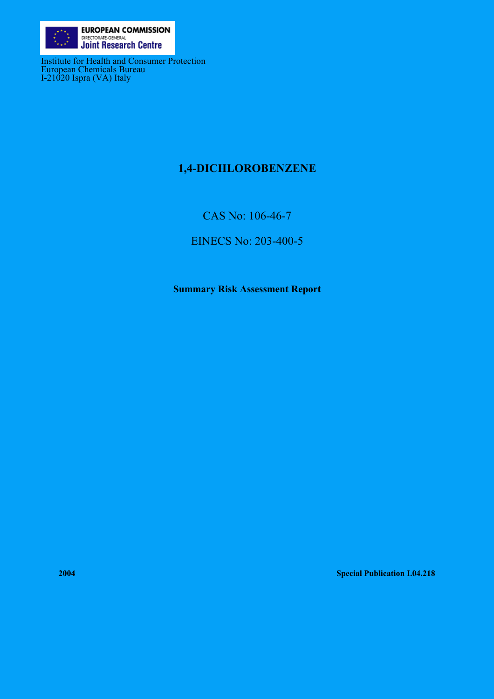

Institute for Health and Consumer Protection European Chemicals Bureau I-21020 Ispra (VA) Italy

# **1,4-DICHLOROBENZENE**

CAS No: 106-46-7

EINECS No: 203-400-5

**Summary Risk Assessment Report** 

**2004 Special Publication I.04.218**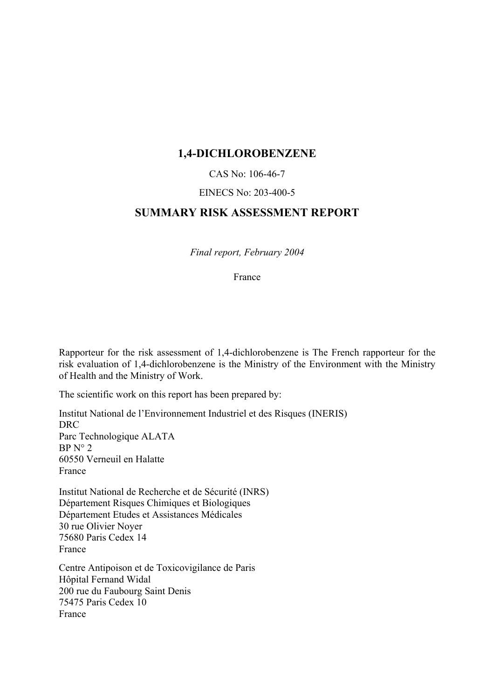## **1,4-DICHLOROBENZENE**

#### CAS No: 106-46-7

#### EINECS No: 203-400-5

## **SUMMARY RISK ASSESSMENT REPORT**

*Final report, February 2004*

France

Rapporteur for the risk assessment of 1,4-dichlorobenzene is The French rapporteur for the risk evaluation of 1,4-dichlorobenzene is the Ministry of the Environment with the Ministry of Health and the Ministry of Work.

The scientific work on this report has been prepared by:

Institut National de l'Environnement Industriel et des Risques (INERIS) DRC Parc Technologique ALATA  $BP N° 2$ 60550 Verneuil en Halatte France

Institut National de Recherche et de Sécurité (INRS) Département Risques Chimiques et Biologiques Département Etudes et Assistances Médicales 30 rue Olivier Noyer 75680 Paris Cedex 14 France

Centre Antipoison et de Toxicovigilance de Paris Hôpital Fernand Widal 200 rue du Faubourg Saint Denis 75475 Paris Cedex 10 France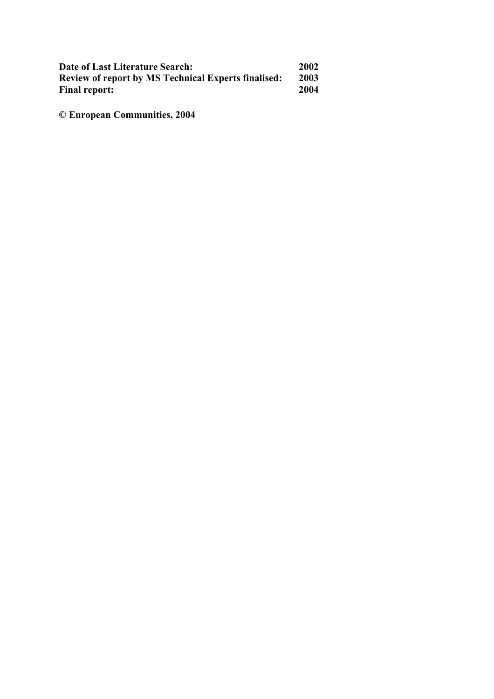| Date of Last Literature Search:                            | 2002 |
|------------------------------------------------------------|------|
| <b>Review of report by MS Technical Experts finalised:</b> | 2003 |
| <b>Final report:</b>                                       | 2004 |

**© European Communities, 2004**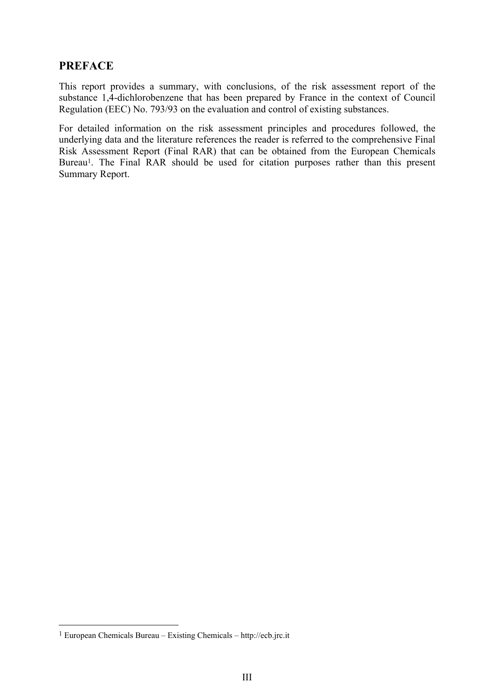# **PREFACE**

This report provides a summary, with conclusions, of the risk assessment report of the substance 1,4-dichlorobenzene that has been prepared by France in the context of Council Regulation (EEC) No. 793/93 on the evaluation and control of existing substances.

For detailed information on the risk assessment principles and procedures followed, the underlying data and the literature references the reader is referred to the comprehensive Final Risk Assessment Report (Final RAR) that can be obtained from the European Chemicals Bureau<sup>1</sup>. The Final RAR should be used for citation purposes rather than this present Summary Report.

 $\overline{a}$ 

<span id="page-3-0"></span><sup>1</sup> European Chemicals Bureau – Existing Chemicals – http://ecb.jrc.it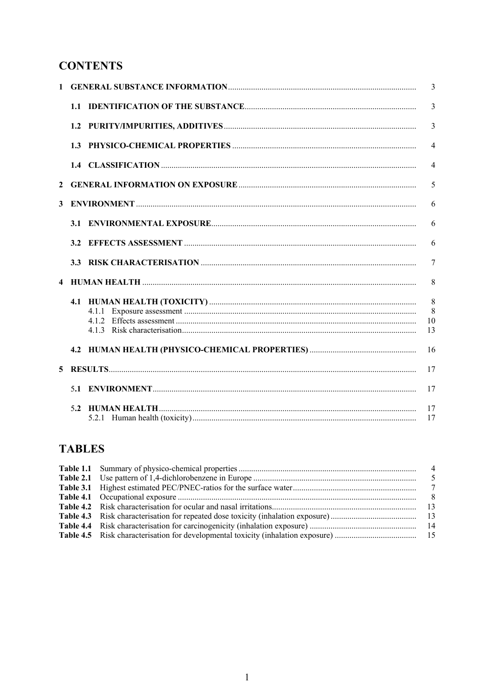# **CONTENTS**

| $\mathbf{1}$            |       | 3              |
|-------------------------|-------|----------------|
|                         |       | $\overline{3}$ |
|                         |       | $\overline{3}$ |
|                         |       | $\overline{4}$ |
|                         |       | $\overline{4}$ |
| $\mathbf{2}$            |       | 5              |
| 3                       |       | 6              |
|                         |       | 6              |
|                         |       | 6              |
|                         |       | $\tau$         |
| $\overline{\mathbf{4}}$ |       | 8              |
|                         |       | 8              |
|                         | 4.1.1 | 8              |
|                         |       | 10             |
|                         |       | 13             |
|                         |       | 16             |
| 5                       |       | 17             |
|                         |       | 17             |
|                         |       | 17             |
|                         |       | 17             |

# **TABLES**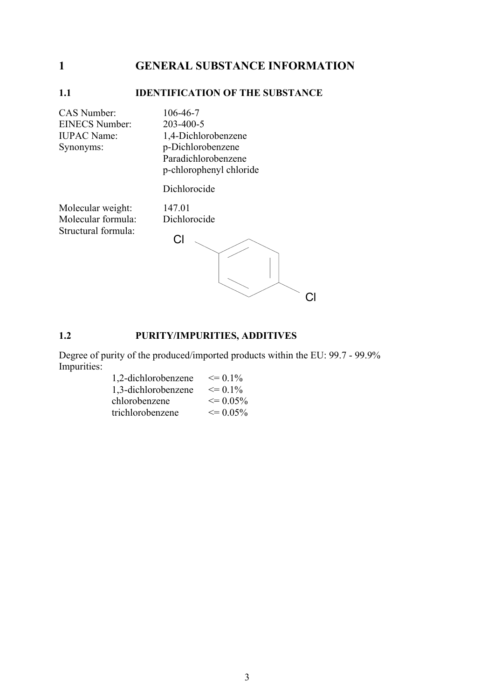# <span id="page-7-0"></span>**1 GENERAL SUBSTANCE INFORMATION**

#### **1.1 IDENTIFICATION OF THE SUBSTANCE**

CAS Number: 106-46-7<br>EINECS Number: 203-400-5 EINECS Number:

IUPAC Name: 1,4-Dichlorobenzene Synonyms: p-Dichlorobenzene Paradichlorobenzene p-chlorophenyl chloride

Dichlorocide

Molecular weight: 147.01 Molecular formula: Dichlorocide Structural formula:

Cl Cl

## **1.2 PURITY/IMPURITIES, ADDITIVES**

Degree of purity of the produced/imported products within the EU: 99.7 - 99.9% Impurities:

| 1,2-dichlorobenzene | $\leq$ 0 1%  |
|---------------------|--------------|
| 1,3-dichlorobenzene | $\leq$ 0 1%  |
| chlorobenzene       | $\leq$ 0.05% |
| trichlorobenzene    | $\leq$ 0.05% |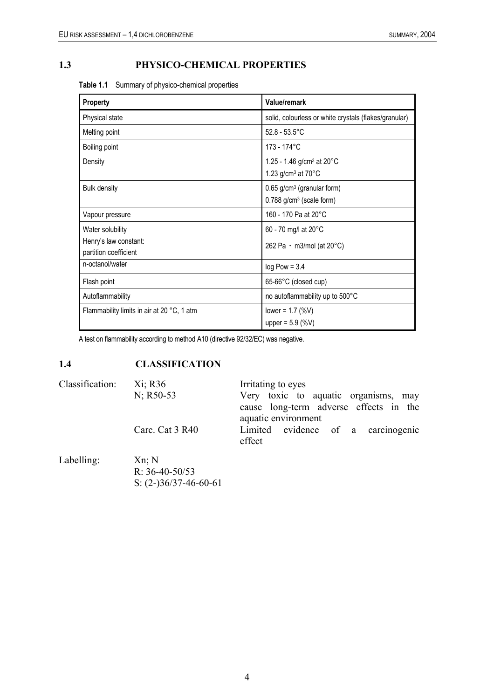## <span id="page-8-0"></span>**1.3 PHYSICO-CHEMICAL PROPERTIES**

| Table 1.1 Summary of physico-chemical properties |  |  |  |  |  |
|--------------------------------------------------|--|--|--|--|--|
|--------------------------------------------------|--|--|--|--|--|

| Property                                       | Value/remark                                                                      |
|------------------------------------------------|-----------------------------------------------------------------------------------|
| Physical state                                 | solid, colourless or white crystals (flakes/granular)                             |
| Melting point                                  | $52.8 - 53.5^{\circ}$ C                                                           |
| Boiling point                                  | 173 - 174°C                                                                       |
| Density                                        | 1.25 - 1.46 g/cm <sup>3</sup> at 20°C<br>1.23 g/cm <sup>3</sup> at $70^{\circ}$ C |
| <b>Bulk density</b>                            | 0.65 g/cm <sup>3</sup> (granular form)<br>$0.788$ g/cm <sup>3</sup> (scale form)  |
| Vapour pressure                                | 160 - 170 Pa at 20°C                                                              |
| Water solubility                               | 60 - 70 mg/l at 20°C                                                              |
| Henry's law constant:<br>partition coefficient | 262 Pa $\cdot$ m3/mol (at 20 $^{\circ}$ C)                                        |
| n-octanol/water                                | $log$ Pow = 3.4                                                                   |
| Flash point                                    | 65-66°C (closed cup)                                                              |
| Autoflammability                               | no autoflammability up to 500°C                                                   |
| Flammability limits in air at 20 °C, 1 atm     | lower = $1.7$ (%V)<br>upper = $5.9$ (%V)                                          |

A test on flammability according to method A10 (directive 92/32/EC) was negative.

# **1.4 CLASSIFICATION**

| Classification: | Xi; R36<br>$N$ ; R50-53                                 | Irritating to eyes<br>Very toxic to aquatic organisms, may<br>cause long-term adverse effects in the |
|-----------------|---------------------------------------------------------|------------------------------------------------------------------------------------------------------|
|                 | Carc. Cat 3 R40                                         | aquatic environment<br>Limited evidence of a carcinogenic<br>effect                                  |
| Labelling:      | $Xn$ ; N<br>R: $36-40-50/53$<br>S: $(2-)36/37-46-60-61$ |                                                                                                      |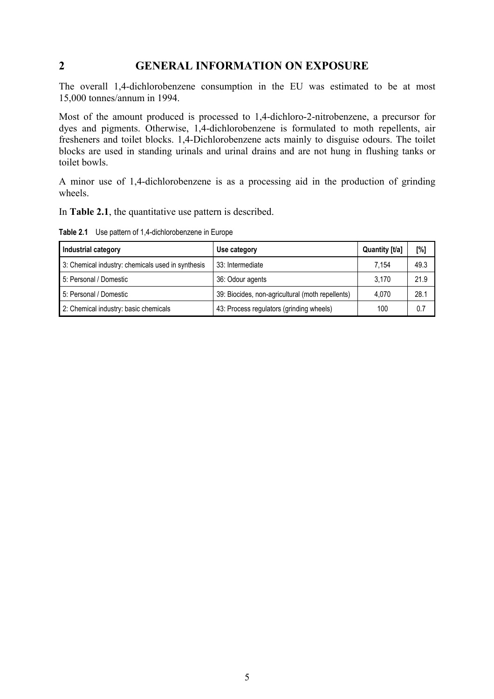## <span id="page-9-0"></span>**2 GENERAL INFORMATION ON EXPOSURE**

The overall 1,4-dichlorobenzene consumption in the EU was estimated to be at most 15,000 tonnes/annum in 1994.

Most of the amount produced is processed to 1,4-dichloro-2-nitrobenzene, a precursor for dyes and pigments. Otherwise, 1,4-dichlorobenzene is formulated to moth repellents, air fresheners and toilet blocks. 1,4-Dichlorobenzene acts mainly to disguise odours. The toilet blocks are used in standing urinals and urinal drains and are not hung in flushing tanks or toilet bowls.

A minor use of 1,4-dichlorobenzene is as a processing aid in the production of grinding wheels.

In **Table 2.1**, the quantitative use pattern is described.

**Table 2.1** Use pattern of 1,4-dichlorobenzene in Europe

| Industrial category                               | Use category                                     | Quantity [t/a] | [%]  |
|---------------------------------------------------|--------------------------------------------------|----------------|------|
| 3: Chemical industry: chemicals used in synthesis | 33: Intermediate                                 | 7.154          | 49.3 |
| 5: Personal / Domestic                            | 36: Odour agents                                 | 3.170          | 21.9 |
| 5: Personal / Domestic                            | 39: Biocides, non-agricultural (moth repellents) | 4.070          | 28.1 |
| 2: Chemical industry: basic chemicals             | 43: Process regulators (grinding wheels)         | 100            | 0.7  |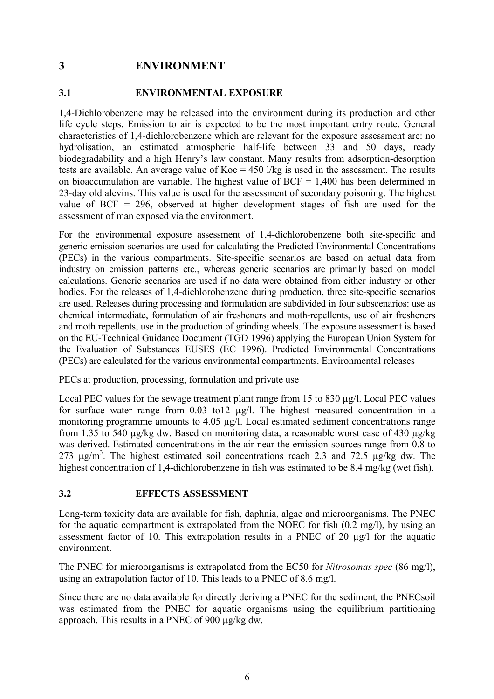# <span id="page-10-0"></span>**3 ENVIRONMENT**

#### **3.1 ENVIRONMENTAL EXPOSURE**

1,4-Dichlorobenzene may be released into the environment during its production and other life cycle steps. Emission to air is expected to be the most important entry route. General characteristics of 1,4-dichlorobenzene which are relevant for the exposure assessment are: no hydrolisation, an estimated atmospheric half-life between 33 and 50 days, ready biodegradability and a high Henry's law constant. Many results from adsorption-desorption tests are available. An average value of  $Koc = 450$  l/kg is used in the assessment. The results on bioaccumulation are variable. The highest value of  $BCF = 1,400$  has been determined in 23-day old alevins. This value is used for the assessment of secondary poisoning. The highest value of BCF = 296, observed at higher development stages of fish are used for the assessment of man exposed via the environment.

For the environmental exposure assessment of 1,4-dichlorobenzene both site-specific and generic emission scenarios are used for calculating the Predicted Environmental Concentrations (PECs) in the various compartments. Site-specific scenarios are based on actual data from industry on emission patterns etc., whereas generic scenarios are primarily based on model calculations. Generic scenarios are used if no data were obtained from either industry or other bodies. For the releases of 1,4-dichlorobenzene during production, three site-specific scenarios are used. Releases during processing and formulation are subdivided in four subscenarios: use as chemical intermediate, formulation of air fresheners and moth-repellents, use of air fresheners and moth repellents, use in the production of grinding wheels. The exposure assessment is based on the EU-Technical Guidance Document (TGD 1996) applying the European Union System for the Evaluation of Substances EUSES (EC 1996). Predicted Environmental Concentrations (PECs) are calculated for the various environmental compartments. Environmental releases

#### PECs at production, processing, formulation and private use

Local PEC values for the sewage treatment plant range from 15 to 830 µg/l. Local PEC values for surface water range from 0.03 to12 µg/l. The highest measured concentration in a monitoring programme amounts to 4.05 µg/l. Local estimated sediment concentrations range from 1.35 to 540 µg/kg dw. Based on monitoring data, a reasonable worst case of 430 µg/kg was derived. Estimated concentrations in the air near the emission sources range from 0.8 to 273  $\mu$ g/m<sup>3</sup>. The highest estimated soil concentrations reach 2.3 and 72.5  $\mu$ g/kg dw. The highest concentration of 1,4-dichlorobenzene in fish was estimated to be 8.4 mg/kg (wet fish).

#### **3.2 EFFECTS ASSESSMENT**

Long-term toxicity data are available for fish, daphnia, algae and microorganisms. The PNEC for the aquatic compartment is extrapolated from the NOEC for fish (0.2 mg/l), by using an assessment factor of 10. This extrapolation results in a PNEC of 20 µg/l for the aquatic environment.

The PNEC for microorganisms is extrapolated from the EC50 for *Nitrosomas spec* (86 mg/l), using an extrapolation factor of 10. This leads to a PNEC of 8.6 mg/l.

Since there are no data available for directly deriving a PNEC for the sediment, the PNECsoil was estimated from the PNEC for aquatic organisms using the equilibrium partitioning approach. This results in a PNEC of 900 µg/kg dw.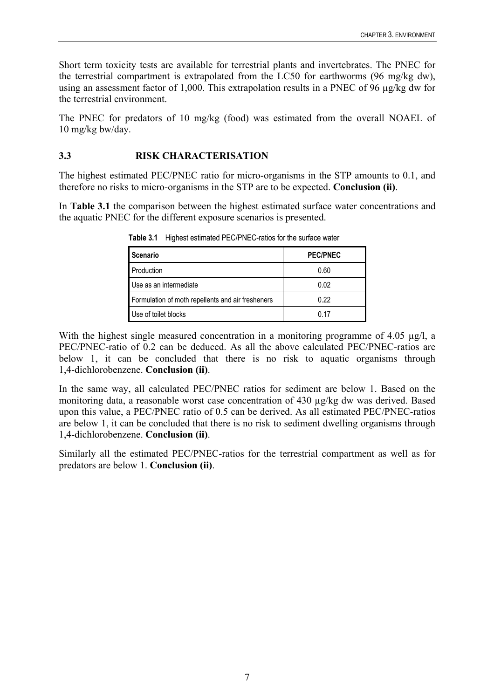<span id="page-11-0"></span>Short term toxicity tests are available for terrestrial plants and invertebrates. The PNEC for the terrestrial compartment is extrapolated from the LC50 for earthworms (96 mg/kg dw), using an assessment factor of 1,000. This extrapolation results in a PNEC of 96 µg/kg dw for the terrestrial environment.

The PNEC for predators of 10 mg/kg (food) was estimated from the overall NOAEL of 10 mg/kg bw/day.

## **3.3 RISK CHARACTERISATION**

The highest estimated PEC/PNEC ratio for micro-organisms in the STP amounts to 0.1, and therefore no risks to micro-organisms in the STP are to be expected. **Conclusion (ii)**.

In **Table 3.1** the comparison between the highest estimated surface water concentrations and the aquatic PNEC for the different exposure scenarios is presented.

| <b>Scenario</b>                                   | <b>PEC/PNEC</b> |
|---------------------------------------------------|-----------------|
| Production                                        | 0.60            |
| Use as an intermediate                            | 0.02            |
| Formulation of moth repellents and air fresheners | 0.22            |
| Use of toilet blocks                              | በ 17            |

**Table 3.1** Highest estimated PEC/PNEC-ratios for the surface water

With the highest single measured concentration in a monitoring programme of 4.05 µg/l, a PEC/PNEC-ratio of 0.2 can be deduced. As all the above calculated PEC/PNEC-ratios are below 1, it can be concluded that there is no risk to aquatic organisms through 1,4-dichlorobenzene. **Conclusion (ii)**.

In the same way, all calculated PEC/PNEC ratios for sediment are below 1. Based on the monitoring data, a reasonable worst case concentration of 430 µg/kg dw was derived. Based upon this value, a PEC/PNEC ratio of 0.5 can be derived. As all estimated PEC/PNEC-ratios are below 1, it can be concluded that there is no risk to sediment dwelling organisms through 1,4-dichlorobenzene. **Conclusion (ii)**.

Similarly all the estimated PEC/PNEC-ratios for the terrestrial compartment as well as for predators are below 1. **Conclusion (ii)**.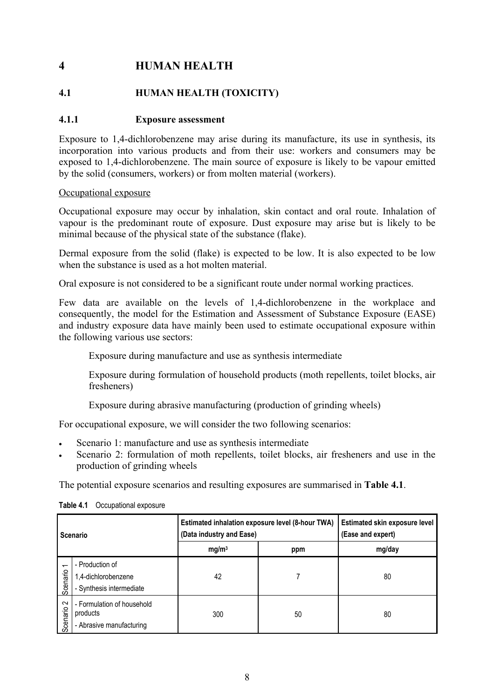# <span id="page-12-0"></span>**4 HUMAN HEALTH**

# **4.1 HUMAN HEALTH (TOXICITY)**

### **4.1.1 Exposure assessment**

Exposure to 1,4-dichlorobenzene may arise during its manufacture, its use in synthesis, its incorporation into various products and from their use: workers and consumers may be exposed to 1,4-dichlorobenzene. The main source of exposure is likely to be vapour emitted by the solid (consumers, workers) or from molten material (workers).

#### Occupational exposure

Occupational exposure may occur by inhalation, skin contact and oral route. Inhalation of vapour is the predominant route of exposure. Dust exposure may arise but is likely to be minimal because of the physical state of the substance (flake).

Dermal exposure from the solid (flake) is expected to be low. It is also expected to be low when the substance is used as a hot molten material.

Oral exposure is not considered to be a significant route under normal working practices.

Few data are available on the levels of 1,4-dichlorobenzene in the workplace and consequently, the model for the Estimation and Assessment of Substance Exposure (EASE) and industry exposure data have mainly been used to estimate occupational exposure within the following various use sectors:

Exposure during manufacture and use as synthesis intermediate

Exposure during formulation of household products (moth repellents, toilet blocks, air fresheners)

Exposure during abrasive manufacturing (production of grinding wheels)

For occupational exposure, we will consider the two following scenarios:

- Scenario 1: manufacture and use as synthesis intermediate
- Scenario 2: formulation of moth repellents, toilet blocks, air fresheners and use in the production of grinding wheels

The potential exposure scenarios and resulting exposures are summarised in **Table 4.1**.

| Scenario                   |                                                                    | Estimated inhalation exposure level (8-hour TWA)<br>(Data industry and Ease) | Estimated skin exposure level<br>(Ease and expert) |        |
|----------------------------|--------------------------------------------------------------------|------------------------------------------------------------------------------|----------------------------------------------------|--------|
|                            |                                                                    | mg/m <sup>3</sup>                                                            | ppm                                                | mg/day |
| $\overline{ }$<br>Scenario | - Production of<br>1,4-dichlorobenzene<br>- Synthesis intermediate | 42                                                                           |                                                    | 80     |
| $\sim$<br>Scenario 2       | - Formulation of household<br>products<br>- Abrasive manufacturing | 300                                                                          | 50                                                 | 80     |

#### **Table 4.1** Occupational exposure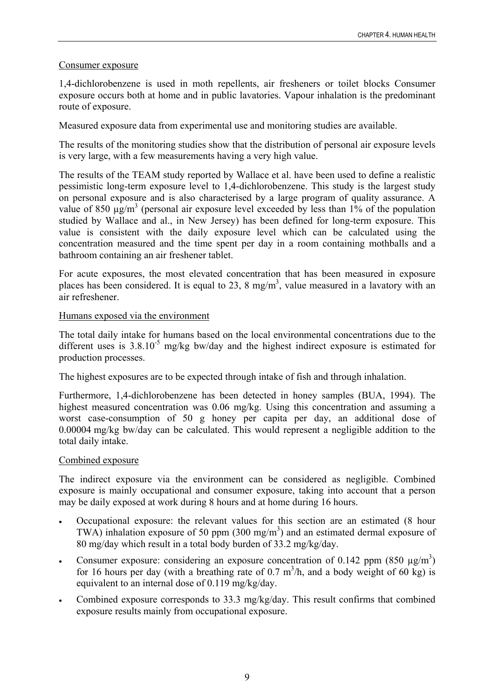## Consumer exposure

1,4-dichlorobenzene is used in moth repellents, air fresheners or toilet blocks Consumer exposure occurs both at home and in public lavatories. Vapour inhalation is the predominant route of exposure.

Measured exposure data from experimental use and monitoring studies are available.

The results of the monitoring studies show that the distribution of personal air exposure levels is very large, with a few measurements having a very high value.

The results of the TEAM study reported by Wallace et al. have been used to define a realistic pessimistic long-term exposure level to 1,4-dichlorobenzene. This study is the largest study on personal exposure and is also characterised by a large program of quality assurance. A value of 850  $\mu$ g/m<sup>3</sup> (personal air exposure level exceeded by less than 1% of the population studied by Wallace and al., in New Jersey) has been defined for long-term exposure. This value is consistent with the daily exposure level which can be calculated using the concentration measured and the time spent per day in a room containing mothballs and a bathroom containing an air freshener tablet.

For acute exposures, the most elevated concentration that has been measured in exposure places has been considered. It is equal to 23, 8 mg/m<sup>3</sup>, value measured in a lavatory with an air refreshener.

### Humans exposed via the environment

The total daily intake for humans based on the local environmental concentrations due to the different uses is  $3.8.10^{-5}$  mg/kg bw/day and the highest indirect exposure is estimated for production processes.

The highest exposures are to be expected through intake of fish and through inhalation.

Furthermore, 1,4-dichlorobenzene has been detected in honey samples (BUA, 1994). The highest measured concentration was 0.06 mg/kg. Using this concentration and assuming a worst case-consumption of 50 g honey per capita per day, an additional dose of 0.00004 mg/kg bw/day can be calculated. This would represent a negligible addition to the total daily intake.

#### Combined exposure

The indirect exposure via the environment can be considered as negligible. Combined exposure is mainly occupational and consumer exposure, taking into account that a person may be daily exposed at work during 8 hours and at home during 16 hours.

- Occupational exposure: the relevant values for this section are an estimated (8 hour TWA) inhalation exposure of 50 ppm  $(300 \text{ mg/m}^3)$  and an estimated dermal exposure of 80 mg/day which result in a total body burden of 33.2 mg/kg/day.
- Consumer exposure: considering an exposure concentration of 0.142 ppm (850  $\mu$ g/m<sup>3</sup>) for 16 hours per day (with a breathing rate of 0.7  $m^3/h$ , and a body weight of 60 kg) is equivalent to an internal dose of 0.119 mg/kg/day.
- Combined exposure corresponds to 33.3 mg/kg/day. This result confirms that combined exposure results mainly from occupational exposure.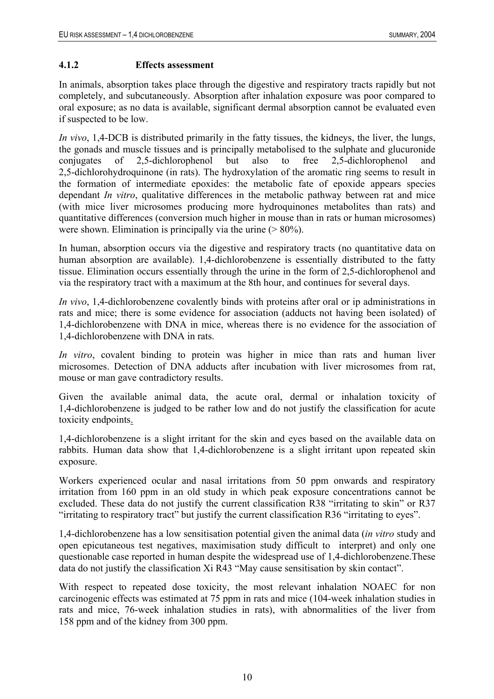### <span id="page-14-0"></span>**4.1.2 Effects assessment**

In animals, absorption takes place through the digestive and respiratory tracts rapidly but not completely, and subcutaneously. Absorption after inhalation exposure was poor compared to oral exposure; as no data is available, significant dermal absorption cannot be evaluated even if suspected to be low.

*In vivo*, 1,4-DCB is distributed primarily in the fatty tissues, the kidneys, the liver, the lungs, the gonads and muscle tissues and is principally metabolised to the sulphate and glucuronide conjugates of  $2.5$ -dichlorophenol but also to free  $2.5$ -dichlorophenol 2,5-dichlorohydroquinone (in rats). The hydroxylation of the aromatic ring seems to result in the formation of intermediate epoxides: the metabolic fate of epoxide appears species dependant *In vitro*, qualitative differences in the metabolic pathway between rat and mice (with mice liver microsomes producing more hydroquinones metabolites than rats) and quantitative differences (conversion much higher in mouse than in rats or human microsomes) were shown. Elimination is principally via the urine  $($  > 80%).

In human, absorption occurs via the digestive and respiratory tracts (no quantitative data on human absorption are available). 1,4-dichlorobenzene is essentially distributed to the fatty tissue. Elimination occurs essentially through the urine in the form of 2,5-dichlorophenol and via the respiratory tract with a maximum at the 8th hour, and continues for several days.

*In vivo*, 1,4-dichlorobenzene covalently binds with proteins after oral or ip administrations in rats and mice; there is some evidence for association (adducts not having been isolated) of 1,4-dichlorobenzene with DNA in mice, whereas there is no evidence for the association of 1,4-dichlorobenzene with DNA in rats.

*In vitro*, covalent binding to protein was higher in mice than rats and human liver microsomes. Detection of DNA adducts after incubation with liver microsomes from rat, mouse or man gave contradictory results.

Given the available animal data, the acute oral, dermal or inhalation toxicity of 1,4-dichlorobenzene is judged to be rather low and do not justify the classification for acute toxicity endpoints.

1,4-dichlorobenzene is a slight irritant for the skin and eyes based on the available data on rabbits. Human data show that 1,4-dichlorobenzene is a slight irritant upon repeated skin exposure.

Workers experienced ocular and nasal irritations from 50 ppm onwards and respiratory irritation from 160 ppm in an old study in which peak exposure concentrations cannot be excluded. These data do not justify the current classification R38 "irritating to skin" or R37 "irritating to respiratory tract" but justify the current classification R36 "irritating to eyes".

1,4-dichlorobenzene has a low sensitisation potential given the animal data (*in vitro* study and open epicutaneous test negatives, maximisation study difficult to interpret) and only one questionable case reported in human despite the widespread use of 1,4-dichlorobenzene.These data do not justify the classification Xi R43 "May cause sensitisation by skin contact".

With respect to repeated dose toxicity, the most relevant inhalation NOAEC for non carcinogenic effects was estimated at 75 ppm in rats and mice (104-week inhalation studies in rats and mice, 76-week inhalation studies in rats), with abnormalities of the liver from 158 ppm and of the kidney from 300 ppm.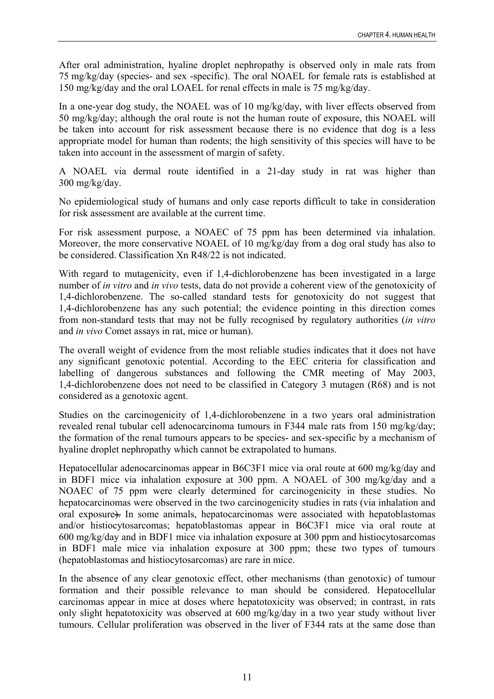After oral administration, hyaline droplet nephropathy is observed only in male rats from 75 mg/kg/day (species- and sex -specific). The oral NOAEL for female rats is established at 150 mg/kg/day and the oral LOAEL for renal effects in male is 75 mg/kg/day.

In a one-year dog study, the NOAEL was of 10 mg/kg/day, with liver effects observed from 50 mg/kg/day; although the oral route is not the human route of exposure, this NOAEL will be taken into account for risk assessment because there is no evidence that dog is a less appropriate model for human than rodents; the high sensitivity of this species will have to be taken into account in the assessment of margin of safety.

A NOAEL via dermal route identified in a 21-day study in rat was higher than 300 mg/kg/day.

No epidemiological study of humans and only case reports difficult to take in consideration for risk assessment are available at the current time.

For risk assessment purpose, a NOAEC of 75 ppm has been determined via inhalation. Moreover, the more conservative NOAEL of 10 mg/kg/day from a dog oral study has also to be considered. Classification Xn R48/22 is not indicated.

With regard to mutagenicity, even if 1,4-dichlorobenzene has been investigated in a large number of *in vitro* and *in vivo* tests, data do not provide a coherent view of the genotoxicity of 1,4-dichlorobenzene. The so-called standard tests for genotoxicity do not suggest that 1,4-dichlorobenzene has any such potential; the evidence pointing in this direction comes from non-standard tests that may not be fully recognised by regulatory authorities (*in vitro* and *in vivo* Comet assays in rat, mice or human).

The overall weight of evidence from the most reliable studies indicates that it does not have any significant genotoxic potential. According to the EEC criteria for classification and labelling of dangerous substances and following the CMR meeting of May 2003, 1,4-dichlorobenzene does not need to be classified in Category 3 mutagen (R68) and is not considered as a genotoxic agent.

Studies on the carcinogenicity of 1,4-dichlorobenzene in a two years oral administration revealed renal tubular cell adenocarcinoma tumours in F344 male rats from 150 mg/kg/day; the formation of the renal tumours appears to be species- and sex-specific by a mechanism of hyaline droplet nephropathy which cannot be extrapolated to humans.

Hepatocellular adenocarcinomas appear in B6C3F1 mice via oral route at 600 mg/kg/day and in BDF1 mice via inhalation exposure at 300 ppm. A NOAEL of 300 mg/kg/day and a NOAEC of 75 ppm were clearly determined for carcinogenicity in these studies. No hepatocarcinomas were observed in the two carcinogenicity studies in rats (via inhalation and oral exposure). In some animals, hepatocarcinomas were associated with hepatoblastomas and/or histiocytosarcomas; hepatoblastomas appear in B6C3F1 mice via oral route at 600 mg/kg/day and in BDF1 mice via inhalation exposure at 300 ppm and histiocytosarcomas in BDF1 male mice via inhalation exposure at 300 ppm; these two types of tumours (hepatoblastomas and histiocytosarcomas) are rare in mice.

In the absence of any clear genotoxic effect, other mechanisms (than genotoxic) of tumour formation and their possible relevance to man should be considered. Hepatocellular carcinomas appear in mice at doses where hepatotoxicity was observed; in contrast, in rats only slight hepatotoxicity was observed at 600 mg/kg/day in a two year study without liver tumours. Cellular proliferation was observed in the liver of F344 rats at the same dose than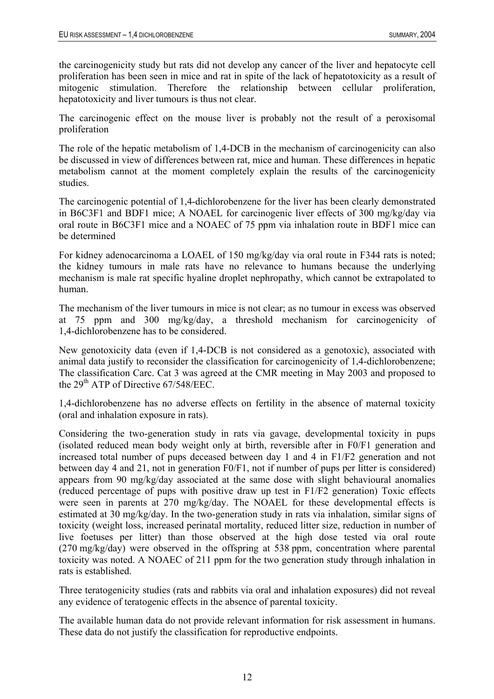the carcinogenicity study but rats did not develop any cancer of the liver and hepatocyte cell proliferation has been seen in mice and rat in spite of the lack of hepatotoxicity as a result of mitogenic stimulation. Therefore the relationship between cellular proliferation, hepatotoxicity and liver tumours is thus not clear.

The carcinogenic effect on the mouse liver is probably not the result of a peroxisomal proliferation

The role of the hepatic metabolism of 1,4-DCB in the mechanism of carcinogenicity can also be discussed in view of differences between rat, mice and human. These differences in hepatic metabolism cannot at the moment completely explain the results of the carcinogenicity studies.

The carcinogenic potential of 1,4-dichlorobenzene for the liver has been clearly demonstrated in B6C3F1 and BDF1 mice; A NOAEL for carcinogenic liver effects of 300 mg/kg/day via oral route in B6C3F1 mice and a NOAEC of 75 ppm via inhalation route in BDF1 mice can be determined

For kidney adenocarcinoma a LOAEL of 150 mg/kg/day via oral route in F344 rats is noted; the kidney tumours in male rats have no relevance to humans because the underlying mechanism is male rat specific hyaline droplet nephropathy, which cannot be extrapolated to human.

The mechanism of the liver tumours in mice is not clear; as no tumour in excess was observed at 75 ppm and 300 mg/kg/day, a threshold mechanism for carcinogenicity of 1,4-dichlorobenzene has to be considered.

New genotoxicity data (even if 1,4-DCB is not considered as a genotoxic), associated with animal data justify to reconsider the classification for carcinogenicity of 1,4-dichlorobenzene; The classification Carc. Cat 3 was agreed at the CMR meeting in May 2003 and proposed to the  $29<sup>th</sup>$  ATP of Directive 67/548/EEC.

1,4-dichlorobenzene has no adverse effects on fertility in the absence of maternal toxicity (oral and inhalation exposure in rats).

Considering the two-generation study in rats via gavage, developmental toxicity in pups (isolated reduced mean body weight only at birth, reversible after in F0/F1 generation and increased total number of pups deceased between day 1 and 4 in F1/F2 generation and not between day 4 and 21, not in generation F0/F1, not if number of pups per litter is considered) appears from 90 mg/kg/day associated at the same dose with slight behavioural anomalies (reduced percentage of pups with positive draw up test in F1/F2 generation) Toxic effects were seen in parents at 270 mg/kg/day. The NOAEL for these developmental effects is estimated at 30 mg/kg/day. In the two-generation study in rats via inhalation, similar signs of toxicity (weight loss, increased perinatal mortality, reduced litter size, reduction in number of live foetuses per litter) than those observed at the high dose tested via oral route (270 mg/kg/day) were observed in the offspring at 538 ppm, concentration where parental toxicity was noted. A NOAEC of 211 ppm for the two generation study through inhalation in rats is established.

Three teratogenicity studies (rats and rabbits via oral and inhalation exposures) did not reveal any evidence of teratogenic effects in the absence of parental toxicity.

The available human data do not provide relevant information for risk assessment in humans. These data do not justify the classification for reproductive endpoints.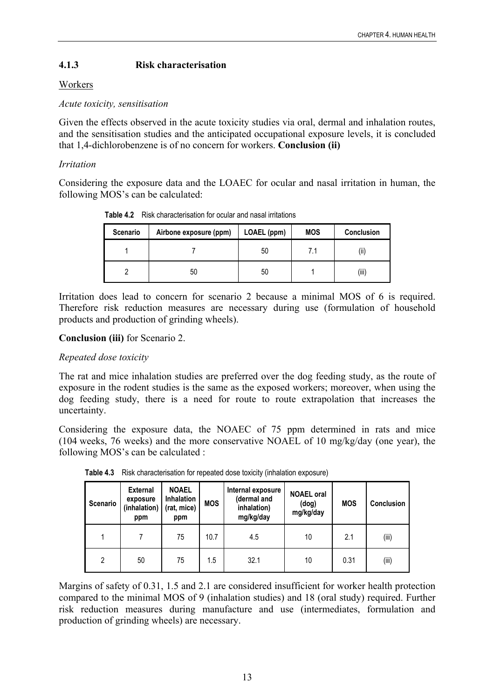# <span id="page-17-0"></span>**4.1.3 Risk characterisation**

## Workers

*Acute toxicity, sensitisation* 

Given the effects observed in the acute toxicity studies via oral, dermal and inhalation routes, and the sensitisation studies and the anticipated occupational exposure levels, it is concluded that 1,4-dichlorobenzene is of no concern for workers. **Conclusion (ii)** 

## *Irritation*

Considering the exposure data and the LOAEC for ocular and nasal irritation in human, the following MOS's can be calculated:

| <b>Scenario</b> | Airbone exposure (ppm) | LOAEL (ppm) | <b>MOS</b> | <b>Conclusion</b> |
|-----------------|------------------------|-------------|------------|-------------------|
|                 |                        | 50          | 7.1        | $\cdots$<br>(II)  |
|                 | 50                     | 50          |            | (iii)             |

**Table 4.2** Risk characterisation for ocular and nasal irritations

Irritation does lead to concern for scenario 2 because a minimal MOS of 6 is required. Therefore risk reduction measures are necessary during use (formulation of household products and production of grinding wheels).

## **Conclusion (iii)** for Scenario 2.

## *Repeated dose toxicity*

The rat and mice inhalation studies are preferred over the dog feeding study, as the route of exposure in the rodent studies is the same as the exposed workers; moreover, when using the dog feeding study, there is a need for route to route extrapolation that increases the uncertainty.

Considering the exposure data, the NOAEC of 75 ppm determined in rats and mice (104 weeks, 76 weeks) and the more conservative NOAEL of 10 mg/kg/day (one year), the following MOS's can be calculated :

| Scenario | <b>External</b><br>exposure<br>(inhalation)<br>ppm | <b>NOAEL</b><br>Inhalation<br>(rat, mice)<br>ppm | <b>MOS</b> | Internal exposure<br>(dermal and<br>inhalation)<br>mg/kg/day | <b>NOAEL oral</b><br>(dog)<br>mg/kg/day | <b>MOS</b> | <b>Conclusion</b> |
|----------|----------------------------------------------------|--------------------------------------------------|------------|--------------------------------------------------------------|-----------------------------------------|------------|-------------------|
|          |                                                    | 75                                               | 10.7       | 4.5                                                          | 10                                      | 2.1        | (iii)             |
| 2        | 50                                                 | 75                                               | 1.5        | 32.1                                                         | 10                                      | 0.31       | (iii)             |

**Table 4.3** Risk characterisation for repeated dose toxicity (inhalation exposure)

Margins of safety of 0.31, 1.5 and 2.1 are considered insufficient for worker health protection compared to the minimal MOS of 9 (inhalation studies) and 18 (oral study) required. Further risk reduction measures during manufacture and use (intermediates, formulation and production of grinding wheels) are necessary.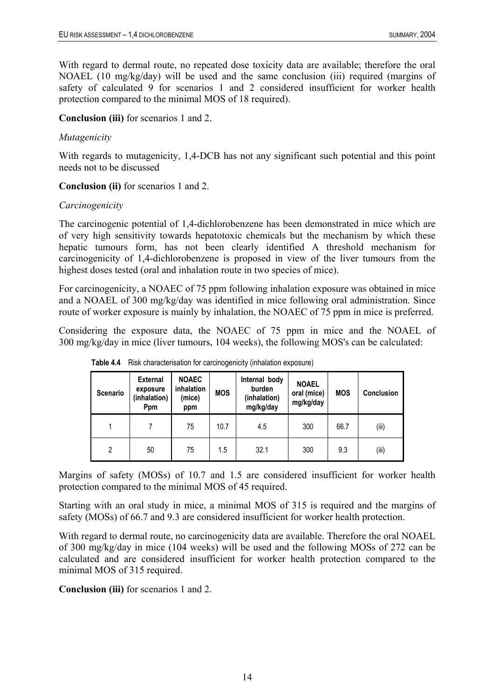<span id="page-18-0"></span>With regard to dermal route, no repeated dose toxicity data are available; therefore the oral NOAEL (10 mg/kg/day) will be used and the same conclusion (iii) required (margins of safety of calculated 9 for scenarios 1 and 2 considered insufficient for worker health protection compared to the minimal MOS of 18 required).

**Conclusion (iii)** for scenarios 1 and 2.

## *Mutagenicity*

With regards to mutagenicity, 1.4-DCB has not any significant such potential and this point needs not to be discussed

**Conclusion (ii)** for scenarios 1 and 2.

## *Carcinogenicity*

The carcinogenic potential of 1,4-dichlorobenzene has been demonstrated in mice which are of very high sensitivity towards hepatotoxic chemicals but the mechanism by which these hepatic tumours form, has not been clearly identified A threshold mechanism for carcinogenicity of 1,4-dichlorobenzene is proposed in view of the liver tumours from the highest doses tested (oral and inhalation route in two species of mice).

For carcinogenicity, a NOAEC of 75 ppm following inhalation exposure was obtained in mice and a NOAEL of 300 mg/kg/day was identified in mice following oral administration. Since route of worker exposure is mainly by inhalation, the NOAEC of 75 ppm in mice is preferred.

Considering the exposure data, the NOAEC of 75 ppm in mice and the NOAEL of 300 mg/kg/day in mice (liver tumours, 104 weeks), the following MOS's can be calculated:

| Scenario | <b>External</b><br>exposure<br>(inhalation)<br>Ppm | <b>NOAEC</b><br><i>inhalation</i><br>(mice)<br>ppm | <b>MOS</b> | Internal body<br>burden<br>(inhalation)<br>mg/kg/day | <b>NOAEL</b><br>oral (mice)<br>mg/kg/day | <b>MOS</b> | <b>Conclusion</b> |
|----------|----------------------------------------------------|----------------------------------------------------|------------|------------------------------------------------------|------------------------------------------|------------|-------------------|
|          |                                                    | 75                                                 | 10.7       | 4.5                                                  | 300                                      | 66.7       | (iii)             |
| 2        | 50                                                 | 75                                                 | 1.5        | 32.1                                                 | 300                                      | 9.3        | (iii)             |

**Table 4.4** Risk characterisation for carcinogenicity (inhalation exposure)

Margins of safety (MOSs) of 10.7 and 1.5 are considered insufficient for worker health protection compared to the minimal MOS of 45 required.

Starting with an oral study in mice, a minimal MOS of 315 is required and the margins of safety (MOSs) of 66.7 and 9.3 are considered insufficient for worker health protection.

With regard to dermal route, no carcinogenicity data are available. Therefore the oral NOAEL of 300 mg/kg/day in mice (104 weeks) will be used and the following MOSs of 272 can be calculated and are considered insufficient for worker health protection compared to the minimal MOS of 315 required.

**Conclusion (iii)** for scenarios 1 and 2.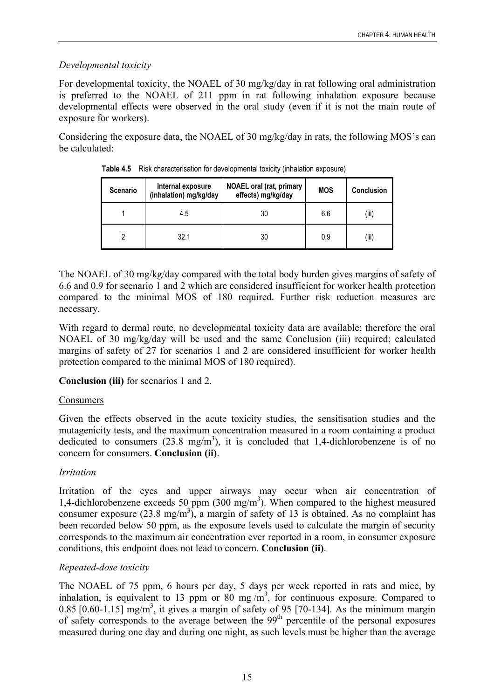## <span id="page-19-0"></span>*Developmental toxicity*

For developmental toxicity, the NOAEL of 30 mg/kg/day in rat following oral administration is preferred to the NOAEL of 211 ppm in rat following inhalation exposure because developmental effects were observed in the oral study (even if it is not the main route of exposure for workers).

Considering the exposure data, the NOAEL of 30 mg/kg/day in rats, the following MOS's can be calculated:

| <b>Scenario</b> | Internal exposure<br>(inhalation) mg/kg/day | <b>NOAEL oral (rat, primary</b><br>effects) mg/kg/day | <b>MOS</b> | <b>Conclusion</b> |
|-----------------|---------------------------------------------|-------------------------------------------------------|------------|-------------------|
|                 | 4.5                                         | 30                                                    | 6.6        | (iii)             |
|                 | 32.1                                        | 30                                                    | 0.9        | (iii)             |

**Table 4.5** Risk characterisation for developmental toxicity (inhalation exposure)

The NOAEL of 30 mg/kg/day compared with the total body burden gives margins of safety of 6.6 and 0.9 for scenario 1 and 2 which are considered insufficient for worker health protection compared to the minimal MOS of 180 required. Further risk reduction measures are necessary.

With regard to dermal route, no developmental toxicity data are available; therefore the oral NOAEL of 30 mg/kg/day will be used and the same Conclusion (iii) required; calculated margins of safety of 27 for scenarios 1 and 2 are considered insufficient for worker health protection compared to the minimal MOS of 180 required).

## **Conclusion (iii)** for scenarios 1 and 2.

## Consumers

Given the effects observed in the acute toxicity studies, the sensitisation studies and the mutagenicity tests, and the maximum concentration measured in a room containing a product dedicated to consumers  $(23.8 \text{ mg/m}^3)$ , it is concluded that 1,4-dichlorobenzene is of no concern for consumers. **Conclusion (ii)**.

## *Irritation*

Irritation of the eyes and upper airways may occur when air concentration of 1,4-dichlorobenzene exceeds 50 ppm  $(300 \text{ mg/m}^3)$ . When compared to the highest measured consumer exposure  $(23.8 \text{ mg/m}^3)$ , a margin of safety of 13 is obtained. As no complaint has been recorded below 50 ppm, as the exposure levels used to calculate the margin of security corresponds to the maximum air concentration ever reported in a room, in consumer exposure conditions, this endpoint does not lead to concern. **Conclusion (ii)**.

## *Repeated-dose toxicity*

The NOAEL of 75 ppm, 6 hours per day, 5 days per week reported in rats and mice, by inhalation, is equivalent to 13 ppm or  $80 \text{ mg/m}^3$ , for continuous exposure. Compared to 0.85  $[0.60-1.15]$  mg/m<sup>3</sup>, it gives a margin of safety of 95  $[70-134]$ . As the minimum margin of safety corresponds to the average between the 99<sup>th</sup> percentile of the personal exposures measured during one day and during one night, as such levels must be higher than the average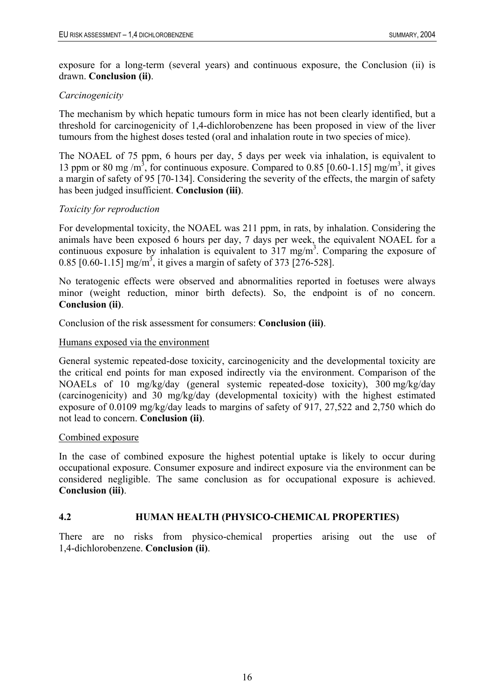<span id="page-20-0"></span>exposure for a long-term (several years) and continuous exposure, the Conclusion (ii) is drawn. **Conclusion (ii)**.

#### *Carcinogenicity*

The mechanism by which hepatic tumours form in mice has not been clearly identified, but a threshold for carcinogenicity of 1,4-dichlorobenzene has been proposed in view of the liver tumours from the highest doses tested (oral and inhalation route in two species of mice).

The NOAEL of 75 ppm, 6 hours per day, 5 days per week via inhalation, is equivalent to 13 ppm or 80 mg/m<sup>3</sup>, for continuous exposure. Compared to 0.85 [0.60-1.15] mg/m<sup>3</sup>, it gives a margin of safety of 95 [70-134]. Considering the severity of the effects, the margin of safety has been judged insufficient. **Conclusion (iii)**.

#### *Toxicity for reproduction*

For developmental toxicity, the NOAEL was 211 ppm, in rats, by inhalation. Considering the animals have been exposed 6 hours per day, 7 days per week, the equivalent NOAEL for a continuous exposure by inhalation is equivalent to  $317 \text{ mg/m}^3$ . Comparing the exposure of 0.85 [0.60-1.15] mg/m<sup>3</sup>, it gives a margin of safety of 373 [276-528].

No teratogenic effects were observed and abnormalities reported in foetuses were always minor (weight reduction, minor birth defects). So, the endpoint is of no concern. **Conclusion (ii)**.

Conclusion of the risk assessment for consumers: **Conclusion (iii)**.

#### Humans exposed via the environment

General systemic repeated-dose toxicity, carcinogenicity and the developmental toxicity are the critical end points for man exposed indirectly via the environment. Comparison of the NOAELs of 10 mg/kg/day (general systemic repeated-dose toxicity), 300 mg/kg/day (carcinogenicity) and 30 mg/kg/day (developmental toxicity) with the highest estimated exposure of 0.0109 mg/kg/day leads to margins of safety of 917, 27,522 and 2,750 which do not lead to concern. **Conclusion (ii)**.

#### Combined exposure

In the case of combined exposure the highest potential uptake is likely to occur during occupational exposure. Consumer exposure and indirect exposure via the environment can be considered negligible. The same conclusion as for occupational exposure is achieved. **Conclusion (iii)**.

#### **4.2 HUMAN HEALTH (PHYSICO-CHEMICAL PROPERTIES)**

There are no risks from physico-chemical properties arising out the use of 1,4-dichlorobenzene. **Conclusion (ii)**.